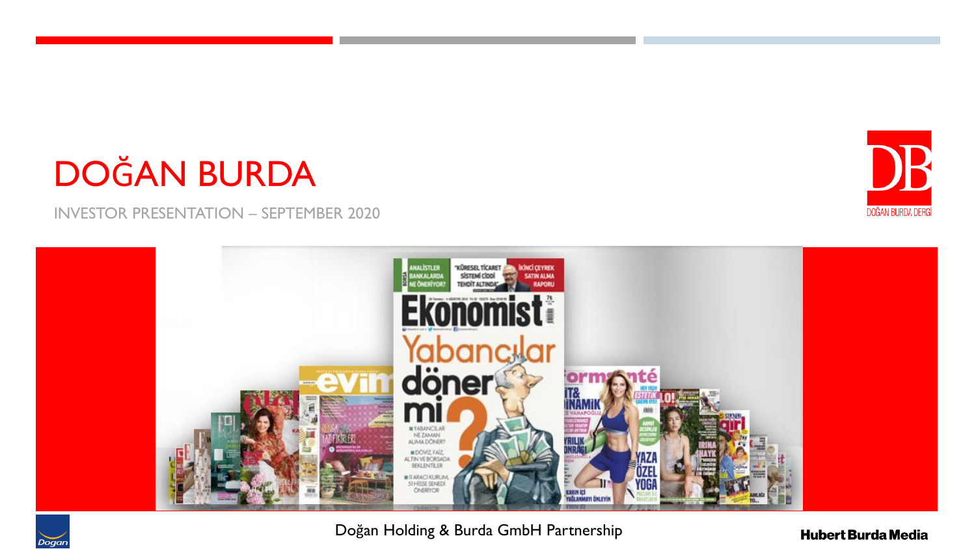## DOĞAN BURDA

INVESTOR PRESENTATION – SEPTEMBER 2020



Doğan Holding & Burda GmbH Partnership

**Hubert Burda Media** 

DB

DOĞAN BURDA DERGİ

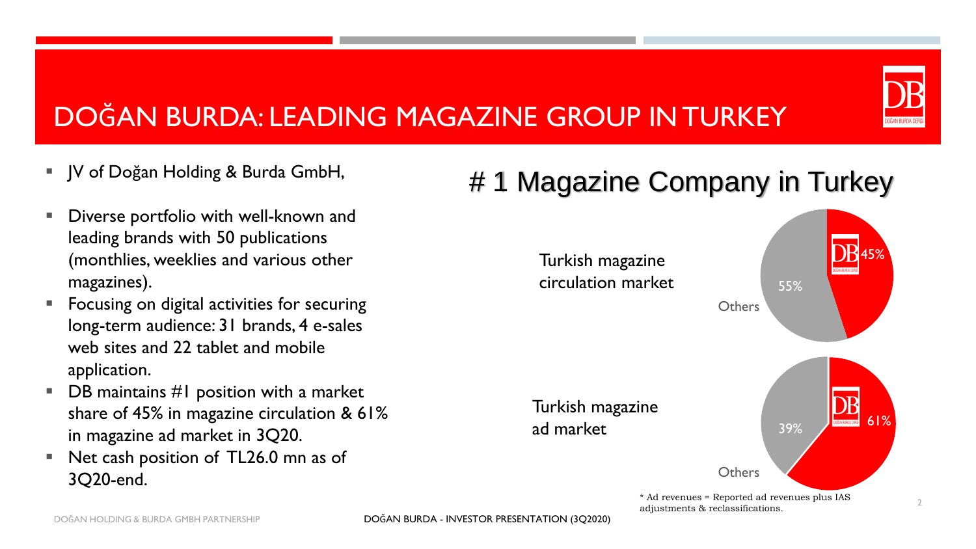#### DOĞAN BURDA: LEADING MAGAZINE GROUP IN TURKEY

- JV of Doğan Holding & Burda GmbH,
- Diverse portfolio with well-known and leading brands with 50 publications (monthlies, weeklies and various other magazines).
- Focusing on digital activities for securing long-term audience: 31 brands, 4 e-sales web sites and 22 tablet and mobile application.
- $\blacksquare$  DB maintains #1 position with a market share of 45% in magazine circulation & 61% in magazine ad market in 3Q20.
- Net cash position of TL26.0 mn as of 3Q20-end.

### # 1 Magazine Company in Turkey

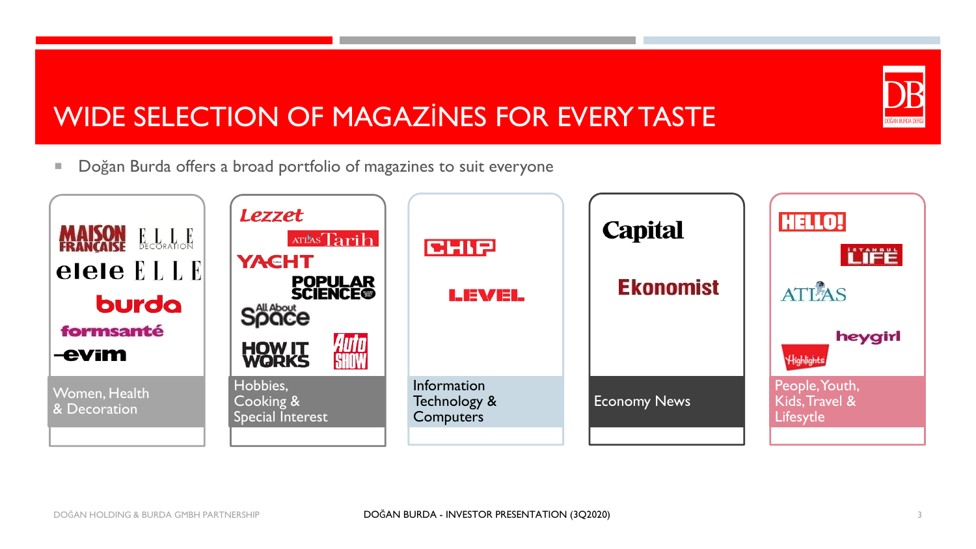# DOĞAN BURDA DERG

#### WIDE SELECTION OF MAGAZİNES FOR EVERY TASTE

**Dogan Burda offers a broad portfolio of magazines to suit everyone** 

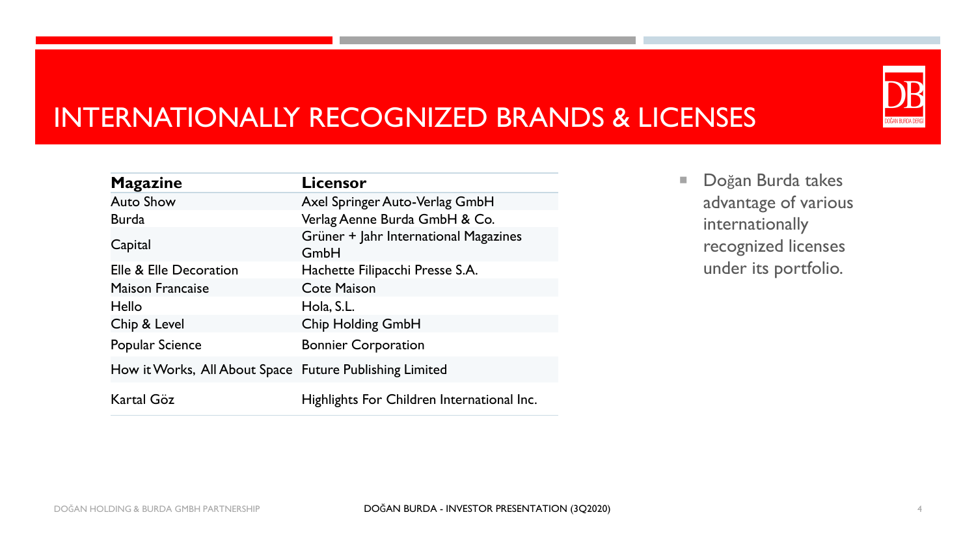#### INTERNATIONALLY RECOGNIZED BRANDS & LICENSES

| <b>Magazine</b>                                         | <b>Licensor</b>                               |
|---------------------------------------------------------|-----------------------------------------------|
| <b>Auto Show</b>                                        | Axel Springer Auto-Verlag GmbH                |
| <b>Burda</b>                                            | Verlag Aenne Burda GmbH & Co.                 |
| Capital                                                 | Grüner + Jahr International Magazines<br>GmbH |
| Elle & Elle Decoration                                  | Hachette Filipacchi Presse S.A.               |
| <b>Maison Francaise</b>                                 | <b>Cote Maison</b>                            |
| Hello                                                   | Hola, S.L.                                    |
| Chip & Level                                            | <b>Chip Holding GmbH</b>                      |
| Popular Science                                         | <b>Bonnier Corporation</b>                    |
| How it Works, All About Space Future Publishing Limited |                                               |
| Kartal Göz                                              | Highlights For Children International Inc.    |

Doğan Burda takes advantage of various internationally recognized licenses under its portfolio.

DOĞAN BURDA DERG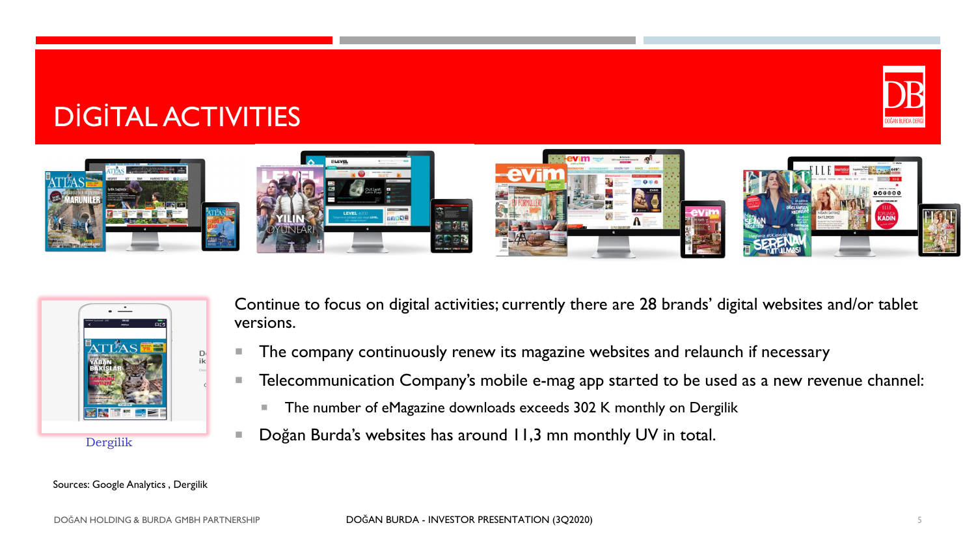#### DİGİTAL ACTIVITIES





Continue to focus on digital activities; currently there are 28 brands' digital websites and/or tablet versions.

- The company continuously renew its magazine websites and relaunch if necessary
- **Telecommunication Company's mobile e-mag app started to be used as a new revenue channel:** 
	- The number of eMagazine downloads exceeds 302 K monthly on Dergilik
- Doğan Burda's websites has around 11,3 mn monthly UV in total.

#### Sources: Google Analytics , Dergilik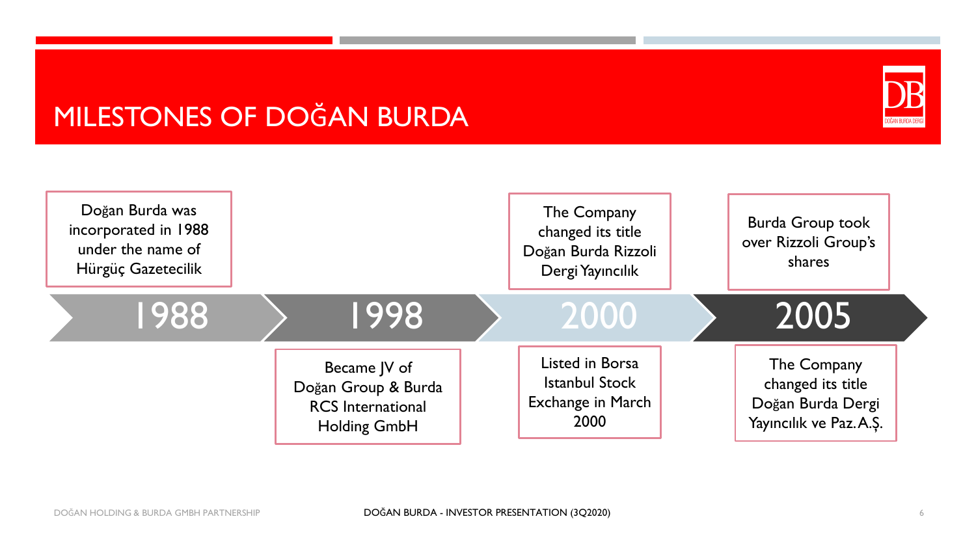#### MILESTONES OF DOĞAN BURDA



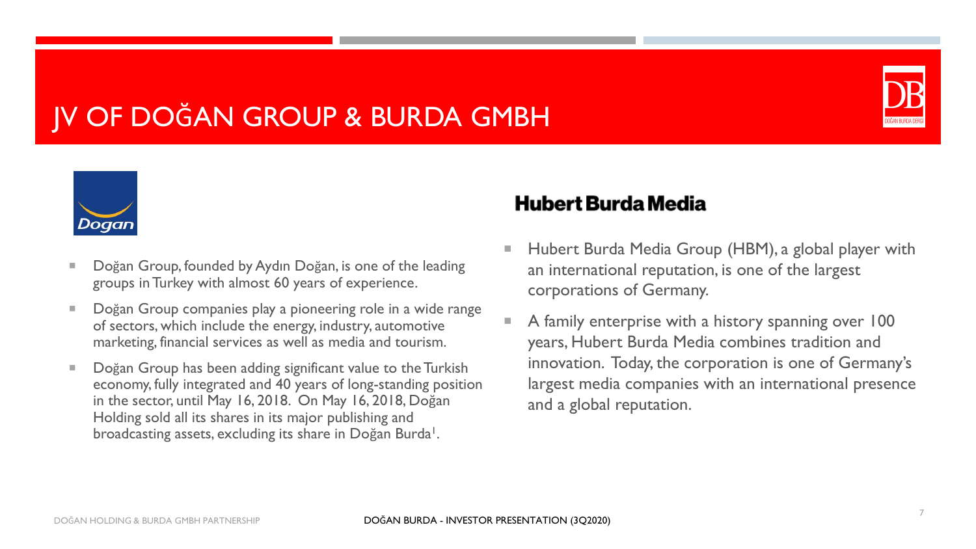#### JV OF DOĞAN GROUP & BURDA GMBH





- Doğan Group, founded by Aydın Doğan, is one of the leading groups in Turkey with almost 60 years of experience.
- Doğan Group companies play a pioneering role in a wide range of sectors, which include the energy, industry, automotive marketing, financial services as well as media and tourism.
- Doğan Group has been adding significant value to the Turkish economy, fully integrated and 40 years of long-standing position in the sector, until May 16, 2018. On May 16, 2018, Doğan Holding sold all its shares in its major publishing and broadcasting assets, excluding its share in Doğan Burda<sup>1</sup>.

#### **Hubert Burda Media**

- Hubert Burda Media Group (HBM), a global player with an international reputation, is one of the largest corporations of Germany.
- A family enterprise with a history spanning over 100 years, Hubert Burda Media combines tradition and innovation. Today, the corporation is one of Germany's largest media companies with an international presence and a global reputation.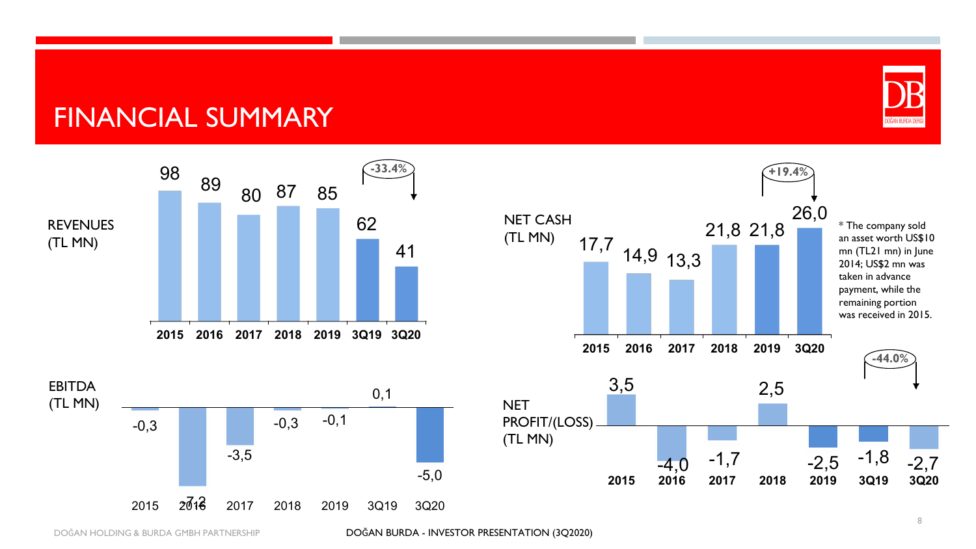#### FINANCIAL SUMMARY







DOĞAN HOLDING & BURDA GMBH PARTNERSHIP DOĞAN BURDA - INVESTOR PRESENTATION (3Q2020)

DOĞAN BURDA DERG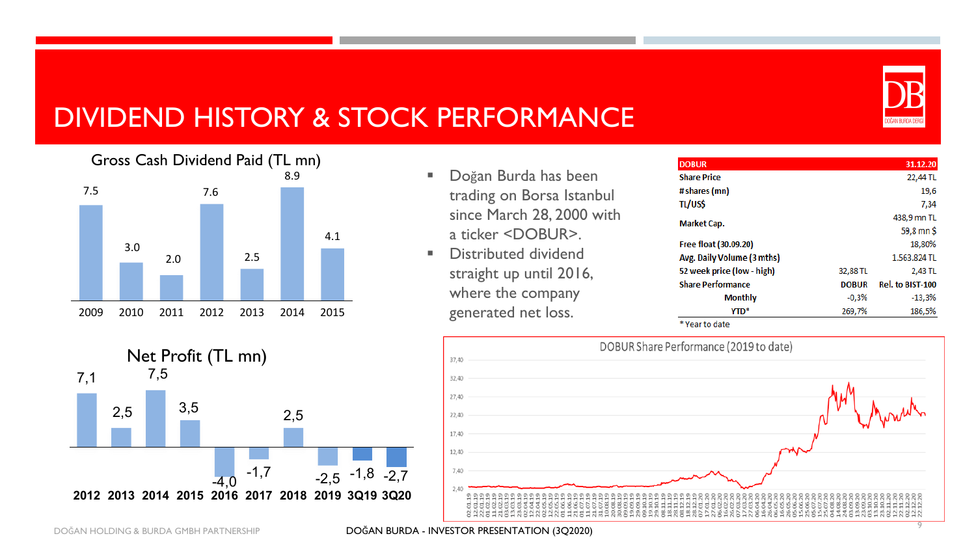

#### DIVIDEND HISTORY & STOCK PERFORMANCE



- Doğan Burda has been trading on Borsa Istanbul since March 28, 2000 with a ticker <DOBUR>.
- Distributed dividend straight up until 2016, where the company generated net loss.

| <b>DOBUR</b>               |              | 31.12.20         |  |
|----------------------------|--------------|------------------|--|
| <b>Share Price</b>         |              | 22,44 TL         |  |
| # shares (mn)              |              | 19,6             |  |
| tl/us\$                    |              | 7,34             |  |
| <b>Market Cap.</b>         |              | 438,9 mn TL      |  |
|                            | 59,8 mn \$   |                  |  |
| Free float (30.09.20)      |              | 18,80%           |  |
| Avg. Daily Volume (3 mths) |              | 1.563.824 TL     |  |
| 52 week price (low - high) | 32,88 TL     | 2,43 TL          |  |
| <b>Share Performance</b>   | <b>DOBUR</b> | Rel. to BIST-100 |  |
| <b>Monthly</b>             | $-0,3%$      | $-13,3%$         |  |
| YTD <sup>*</sup>           | 269,7%       | 186,5%           |  |

\* Year to date



Net Profit (TL mn) 7,1 2,5 7,5 3,5  $-1,7$ 2,5  $-2.5 -1.8 -2.7$ **2012 2013 2014 2015 2016 2017 2018 2019 3Q19 3Q20**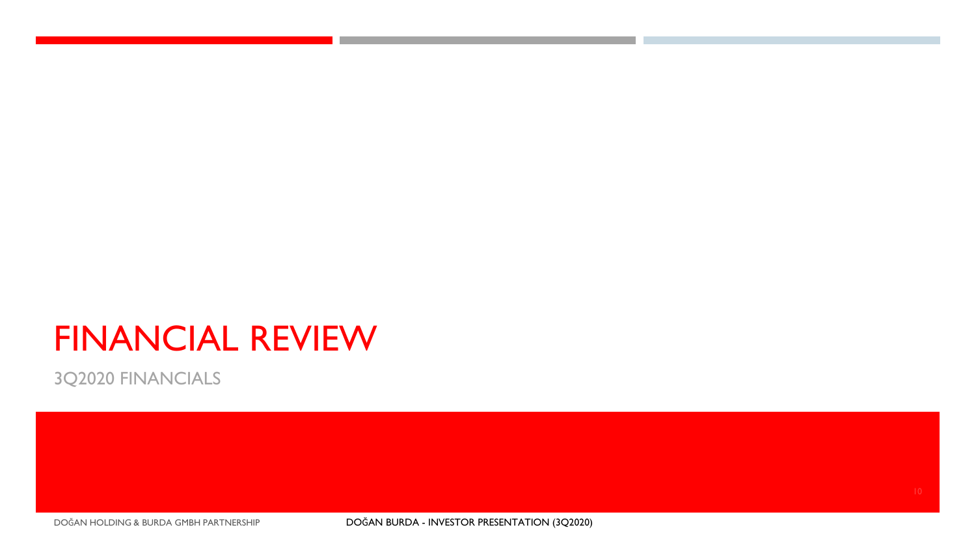### FINANCIAL REVIEW

3Q2020 FINANCIALS

DOĞAN HOLDING & BURDA GMBH PARTNERSHIP DOĞAN BURDA - INVESTOR PRESENTATION (3Q2020)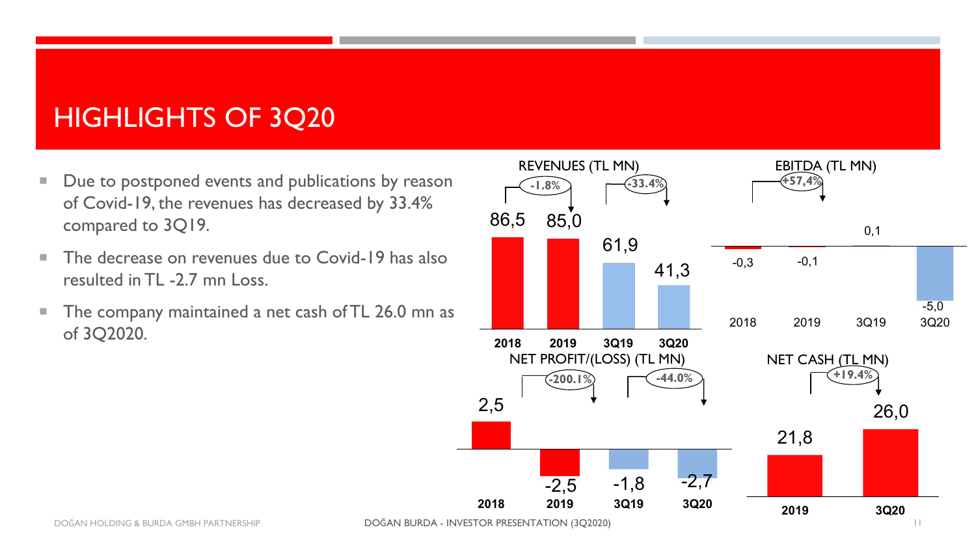#### HIGHLIGHTS OF 3Q20

- Due to postponed events and publications by reason of Covid-19, the revenues has decreased by 33.4% compared to 3Q19.
- The decrease on revenues due to Covid-19 has also resulted in TL -2.7 mn Loss.
- **The company maintained a net cash of TL 26.0 mn as** of 3Q2020.

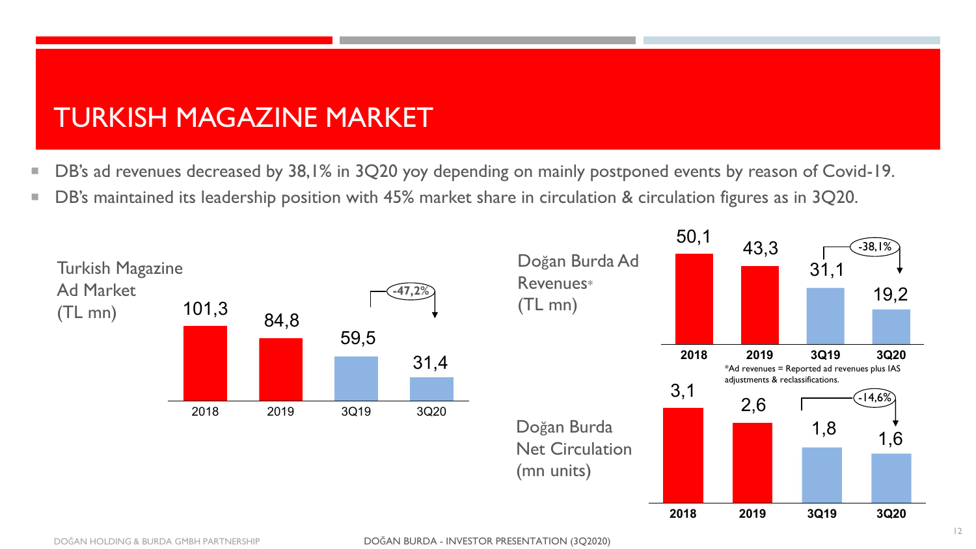#### TURKISH MAGAZINE MARKET

- DB's ad revenues decreased by 38,1% in 3Q20 yoy depending on mainly postponed events by reason of Covid-19.
- DB's maintained its leadership position with 45% market share in circulation & circulation figures as in 3Q20.

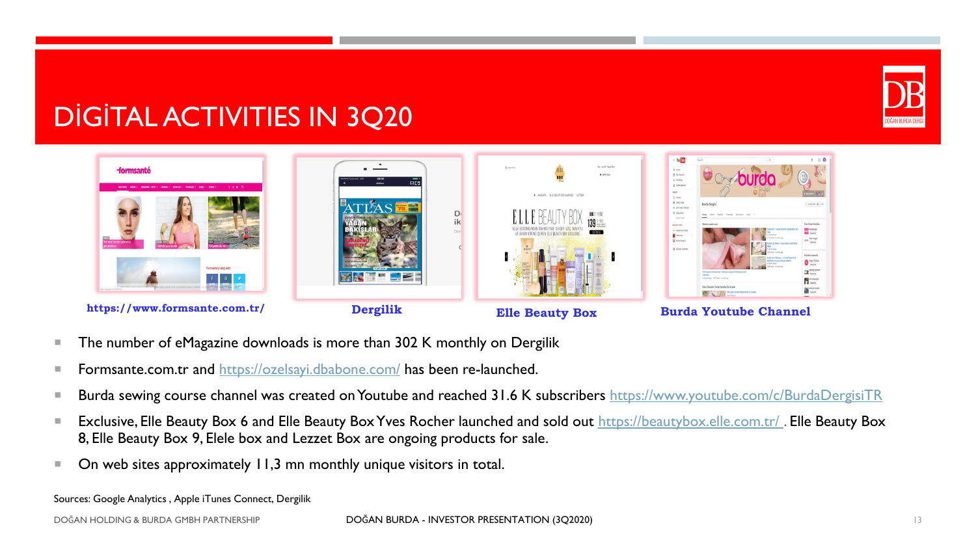

#### DİGİTAL ACTIVITIES IN 3Q20



- The number of eMagazine downloads is more than 302 K monthly on Dergilik
- **Formsante.com.tr and <https://ozelsayi.dbabone.com/> has been re-launched.**
- Burda sewing course channel was created on Youtube and reached 31.6 K subscribers <https://www.youtube.com/c/BurdaDergisiTR>
- Exclusive, Elle Beauty Box 6 and Elle Beauty Box Yves Rocher launched and sold out https://beautybox.elle.com.tr/. Elle Beauty Box 8, Elle Beauty Box 9, Elele box and Lezzet Box are ongoing products for sale.
- On web sites approximately 11,3 mn monthly unique visitors in total.

Sources: Google Analytics , Apple iTunes Connect, Dergilik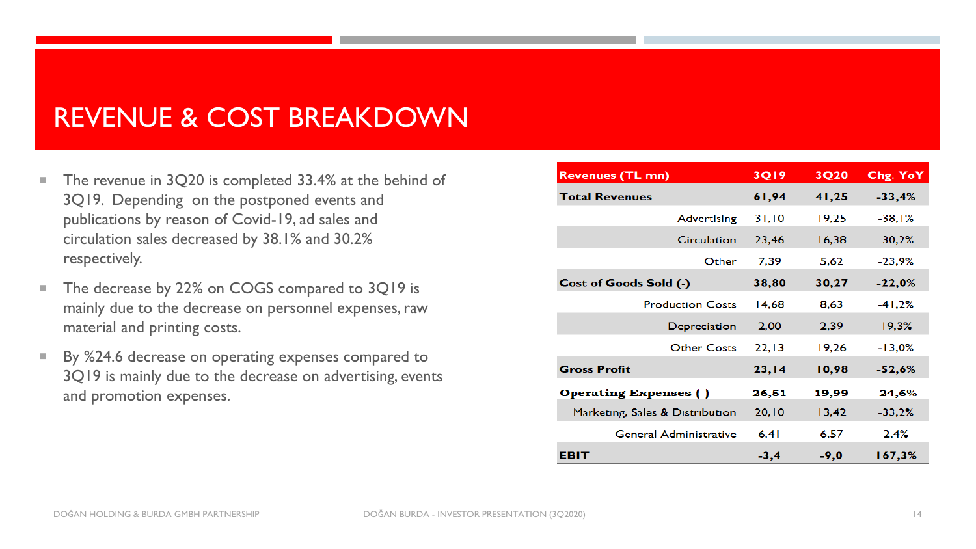#### REVENUE & COST BREAKDOWN

- The revenue in 3Q20 is completed 33.4% at the behind of 3Q19. Depending on the postponed events and publications by reason of Covid-19, ad sales and circulation sales decreased by 38.1% and 30.2% respectively.
- The decrease by 22% on COGS compared to 3Q19 is mainly due to the decrease on personnel expenses, raw material and printing costs.
- By %24.6 decrease on operating expenses compared to 3Q19 is mainly due to the decrease on advertising, events and promotion expenses.

| <b>Revenues (TL mn)</b>         | <b>3Q19</b> | <b>3Q20</b> | Chg. YoY |
|---------------------------------|-------------|-------------|----------|
| <b>Total Revenues</b>           | 61,94       | 41,25       | $-33,4%$ |
| Advertising                     | 31,10       | 19,25       | $-38.1%$ |
| Circulation                     | 23,46       | 16,38       | $-30,2%$ |
| Other                           | 7,39        | 5,62        | $-23,9%$ |
| Cost of Goods Sold (-)          | 38,80       | 30,27       | $-22,0%$ |
| <b>Production Costs</b>         | 14,68       | 8,63        | $-41,2%$ |
| Depreciation                    | 2,00        | 2,39        | 19.3%    |
| <b>Other Costs</b>              | 22,13       | 19,26       | $-13,0%$ |
| <b>Gross Profit</b>             | 23,14       | 10,98       | $-52,6%$ |
| <b>Operating Expenses (-)</b>   | 26,51       | 19,99       | $-24,6%$ |
| Marketing, Sales & Distribution | 20,10       | 13,42       | $-33,2%$ |
| <b>General Administrative</b>   | 6,41        | 6.57        | 2.4%     |
| EBIT                            | $-3,4$      | $-9.0$      | 167,3%   |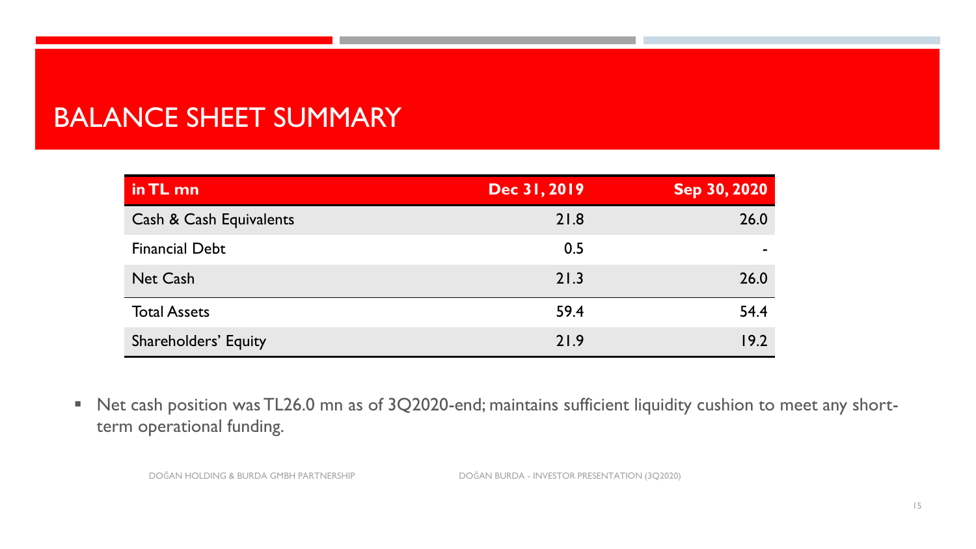#### BALANCE SHEET SUMMARY

| in TL mn                    | Dec 31, 2019 | Sep 30, 2020 |
|-----------------------------|--------------|--------------|
| Cash & Cash Equivalents     | 21.8         | 26.0         |
| <b>Financial Debt</b>       | 0.5          |              |
| <b>Net Cash</b>             | 21.3         | 26.0         |
| <b>Total Assets</b>         | 59.4         | 54.4         |
| <b>Shareholders' Equity</b> | 21.9         | 19.2         |

■ Net cash position was TL26.0 mn as of 3Q2020-end; maintains sufficient liquidity cushion to meet any shortterm operational funding.

DOĞAN HOLDING & BURDA GMBH PARTNERSHIP DOĞAN BURDA - INVESTOR PRESENTATION (3Q2020)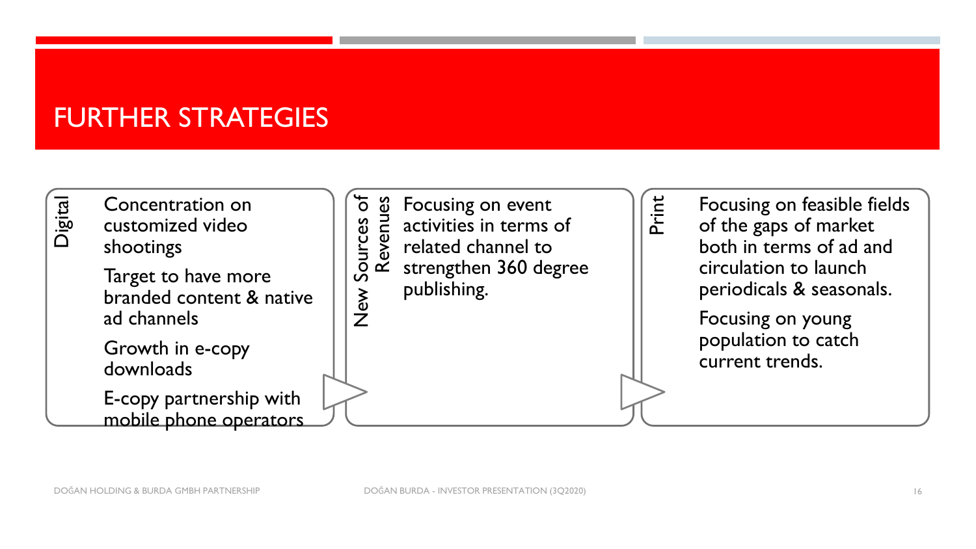#### FURTHER STRATEGIES

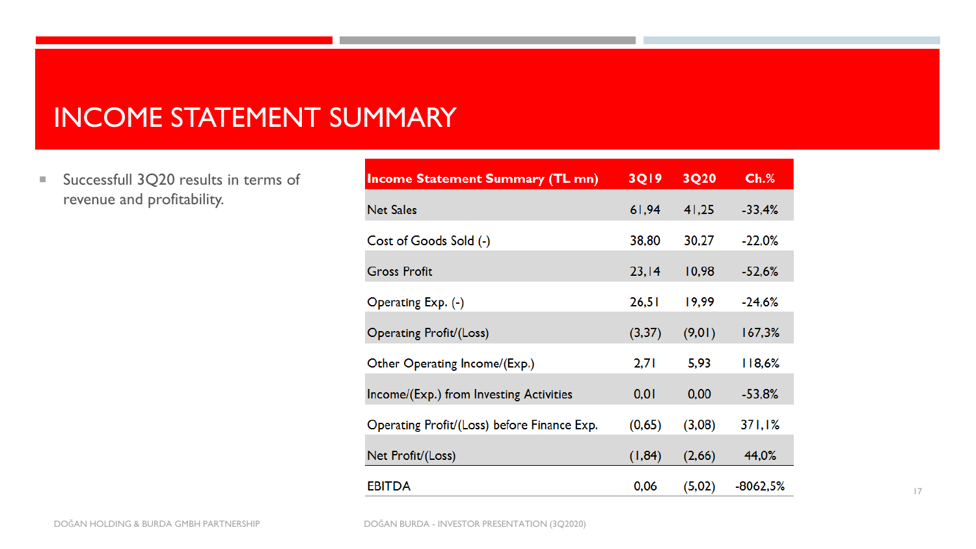#### INCOME STATEMENT SUMMARY

Successfull 3Q20 results in terms of revenue and profitability.

| <b>Income Statement Summary (TL mn)</b>                                                                     | <b>3Q19</b>       | 3Q20             | Ch.%            |
|-------------------------------------------------------------------------------------------------------------|-------------------|------------------|-----------------|
| <b>Net Sales</b>                                                                                            | 61,94             | 41,25            | $-33,4%$        |
| Cost of Goods Sold (-)                                                                                      | 38,80             | 30,27            | $-22,0%$        |
| <b>Gross Profit</b>                                                                                         | 23,14             | 10,98            | $-52,6%$        |
| Operating Exp. (-)                                                                                          | 26,51             | 19,99            | $-24.6%$        |
| Operating Profit/(Loss)                                                                                     | (3,37)            | (9, 01)          | 167,3%          |
| Other Operating Income/(Exp.)                                                                               | 2,71              | 5,93             | 118,6%          |
|                                                                                                             | 0,01              | 0,00             | $-53,8%$        |
|                                                                                                             |                   |                  |                 |
|                                                                                                             |                   |                  |                 |
| <b>EBITDA</b>                                                                                               | 0,06              | (5,02)           | -8062,5%        |
| Income/(Exp.) from Investing Activities<br>Operating Profit/(Loss) before Finance Exp.<br>Net Profit/(Loss) | (0,65)<br>(1, 84) | (3,08)<br>(2,66) | 371,1%<br>44,0% |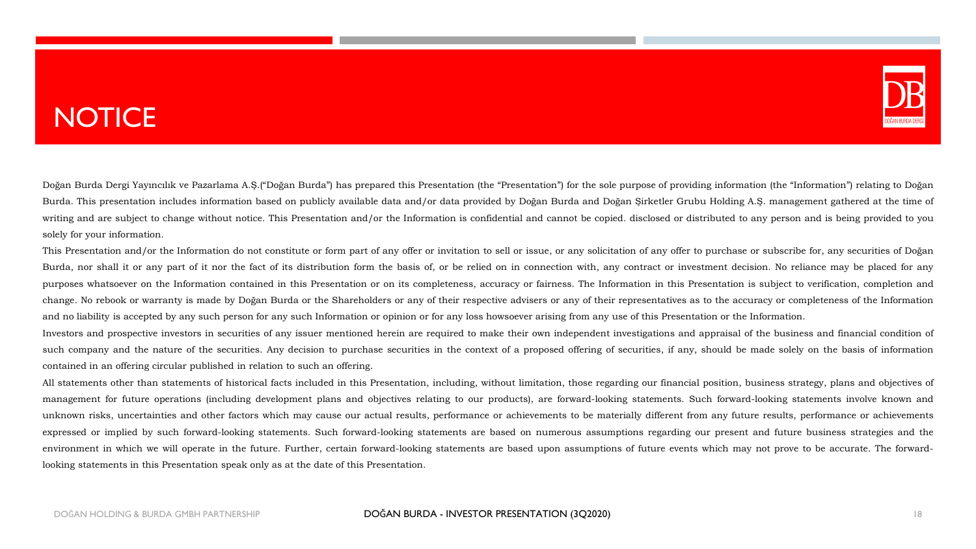#### **NOTICE**



Doğan Burda Dergi Yayıncılık ve Pazarlama A.Ş.("Doğan Burda") has prepared this Presentation (the "Presentation") for the sole purpose of providing information (the "Information") relating to Doğan Burda. This presentation includes information based on publicly available data and/or data provided by Doğan Burda and Doğan Şirketler Grubu Holding A.Ş. management gathered at the time of writing and are subject to change without notice. This Presentation and/or the Information is confidential and cannot be copied. disclosed or distributed to any person and is being provided to you solely for your information.

This Presentation and/or the Information do not constitute or form part of any offer or invitation to sell or issue, or any solicitation of any offer to purchase or subscribe for, any securities of Doğan Burda, nor shall it or any part of it nor the fact of its distribution form the basis of, or be relied on in connection with, any contract or investment decision. No reliance may be placed for any purposes whatsoever on the Information contained in this Presentation or on its completeness, accuracy or fairness. The Information in this Presentation is subject to verification, completion and change. No rebook or warranty is made by Doğan Burda or the Shareholders or any of their respective advisers or any of their representatives as to the accuracy or completeness of the Information and no liability is accepted by any such person for any such Information or opinion or for any loss howsoever arising from any use of this Presentation or the Information.

Investors and prospective investors in securities of any issuer mentioned herein are required to make their own independent investigations and appraisal of the business and financial condition of such company and the nature of the securities. Any decision to purchase securities in the context of a proposed offering of securities, if any, should be made solely on the basis of information contained in an offering circular published in relation to such an offering.

All statements other than statements of historical facts included in this Presentation, including, without limitation, those regarding our financial position, business strategy, plans and objectives of management for future operations (including development plans and objectives relating to our products), are forward-looking statements. Such forward-looking statements involve known and unknown risks, uncertainties and other factors which may cause our actual results, performance or achievements to be materially different from any future results, performance or achievements expressed or implied by such forward-looking statements. Such forward-looking statements are based on numerous assumptions regarding our present and future business strategies and the environment in which we will operate in the future. Further, certain forward-looking statements are based upon assumptions of future events which may not prove to be accurate. The forwardlooking statements in this Presentation speak only as at the date of this Presentation.